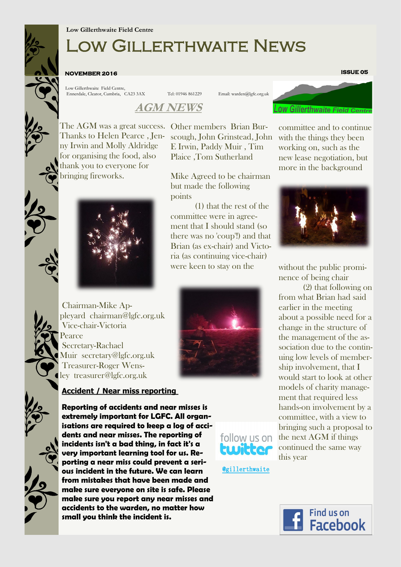# Low Gillerthwaite News

#### **NOVEMBER 2016**

Low Gillerthwaite Field Centre, Ennerdale, Cleator, Cumbria, CA23 3AX Tel: 01946 861229 Email: warden@lgfc.org.uk

E Irwin, Paddy Muir , Tim Plaice ,Tom Sutherland

Mike Agreed to be chairman

(1) that the rest of the

but made the following

committee were in agreement that I should stand (so there was no 'coup'!) and that Brian (as ex-chair) and Victoria (as continuing vice-chair) were keen to stay on the

### **AGM NEWS**

points

The AGM was a great success. Other members Brian Bur-Thanks to Helen Pearce , Jen-scough, John Grinstead, John ny Irwin and Molly Aldridge for organising the food, also thank you to everyone for bringing fireworks.



Chairman-Mike Appleyard chairman@lgfc.org.uk Vice-chair-Victoria Pearce Secretary-Rachael Muir secretary@lgfc.org.uk Treasurer-Roger Wensley treasurer@lgfc.org.uk

### **Accident / Near miss reporting**

**Reporting of accidents and near misses is extremely important for LGFC. All organisations are required to keep a log of accidents and near misses. The reporting of incidents isn't a bad thing, in fact it's a very important learning tool for us. Reporting a near miss could prevent a serious incident in the future. We can learn from mistakes that have been made and make sure everyone on site is safe. Please make sure you report any near misses and accidents to the warden, no matter how small you think the incident is.**



**ISSUE 05** 

committee and to continue with the things they been working on, such as the new lease negotiation, but more in the background



without the public prominence of being chair

(2) that following on from what Brian had said earlier in the meeting about a possible need for a change in the structure of the management of the association due to the continuing low levels of membership involvement, that I would start to look at other models of charity management that required less hands-on involvement by a committee, with a view to bringing such a proposal to the next AGM if things continued the same way this year



@gillerthwaite